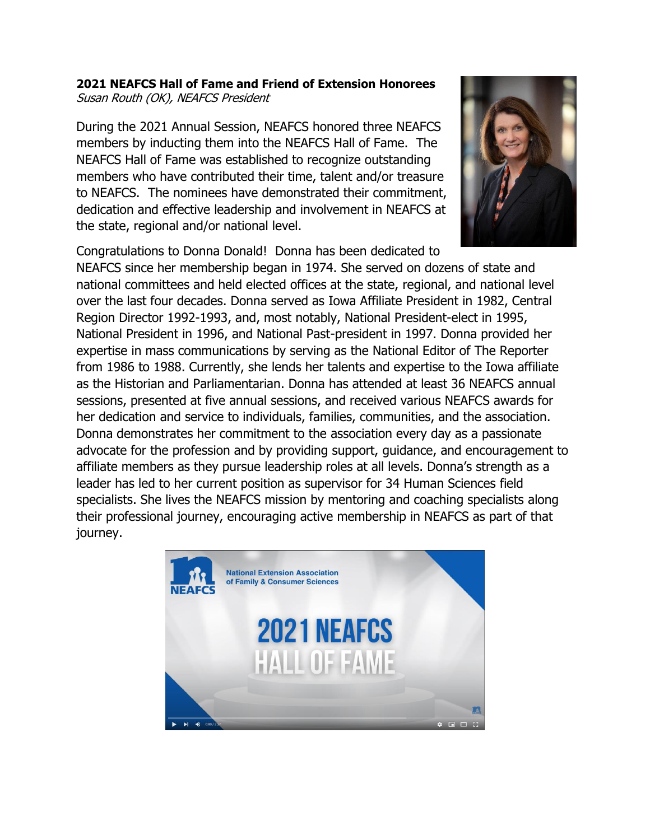## **2021 NEAFCS Hall of Fame and Friend of Extension Honorees** Susan Routh (OK), NEAFCS President

During the 2021 Annual Session, NEAFCS honored three NEAFCS members by inducting them into the NEAFCS Hall of Fame. The NEAFCS Hall of Fame was established to recognize outstanding members who have contributed their time, talent and/or treasure to NEAFCS. The nominees have demonstrated their commitment, dedication and effective leadership and involvement in NEAFCS at the state, regional and/or national level.



Congratulations to Donna Donald! Donna has been dedicated to

NEAFCS since her membership began in 1974. She served on dozens of state and national committees and held elected offices at the state, regional, and national level over the last four decades. Donna served as Iowa Affiliate President in 1982, Central Region Director 1992-1993, and, most notably, National President-elect in 1995, National President in 1996, and National Past-president in 1997. Donna provided her expertise in mass communications by serving as the National Editor of The Reporter from 1986 to 1988. Currently, she lends her talents and expertise to the Iowa affiliate as the Historian and Parliamentarian. Donna has attended at least 36 NEAFCS annual sessions, presented at five annual sessions, and received various NEAFCS awards for her dedication and service to individuals, families, communities, and the association. Donna demonstrates her commitment to the association every day as a passionate advocate for the profession and by providing support, guidance, and encouragement to affiliate members as they pursue leadership roles at all levels. Donna's strength as a leader has led to her current position as supervisor for 34 Human Sciences field specialists. She lives the NEAFCS mission by mentoring and coaching specialists along their professional journey, encouraging active membership in NEAFCS as part of that journey.

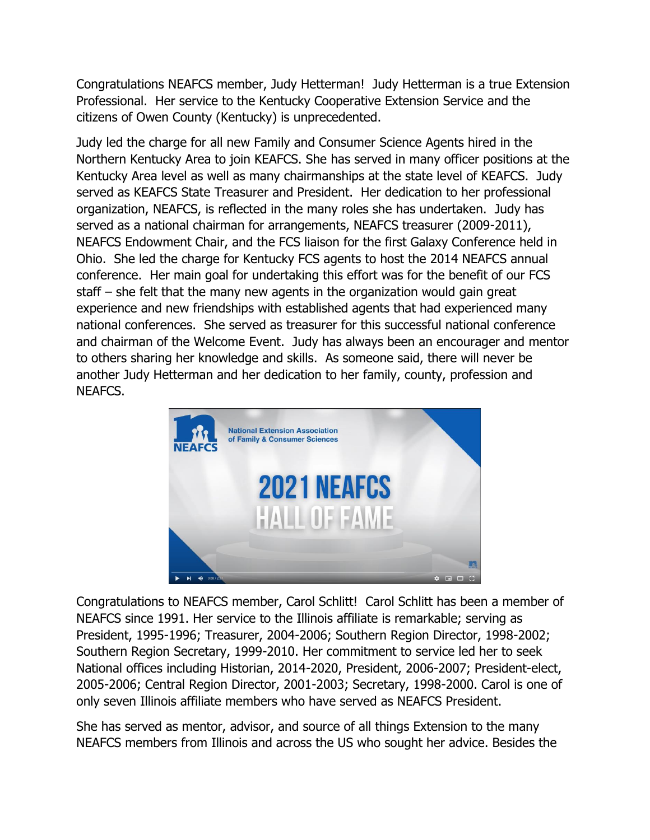Congratulations NEAFCS member, Judy Hetterman! Judy Hetterman is a true Extension Professional. Her service to the Kentucky Cooperative Extension Service and the citizens of Owen County (Kentucky) is unprecedented.

Judy led the charge for all new Family and Consumer Science Agents hired in the Northern Kentucky Area to join KEAFCS. She has served in many officer positions at the Kentucky Area level as well as many chairmanships at the state level of KEAFCS. Judy served as KEAFCS State Treasurer and President. Her dedication to her professional organization, NEAFCS, is reflected in the many roles she has undertaken. Judy has served as a national chairman for arrangements, NEAFCS treasurer (2009-2011), NEAFCS Endowment Chair, and the FCS liaison for the first Galaxy Conference held in Ohio. She led the charge for Kentucky FCS agents to host the 2014 NEAFCS annual conference. Her main goal for undertaking this effort was for the benefit of our FCS staff – she felt that the many new agents in the organization would gain great experience and new friendships with established agents that had experienced many national conferences. She served as treasurer for this successful national conference and chairman of the Welcome Event. Judy has always been an encourager and mentor to others sharing her knowledge and skills. As someone said, there will never be another Judy Hetterman and her dedication to her family, county, profession and NEAFCS.



Congratulations to NEAFCS member, Carol Schlitt! Carol Schlitt has been a member of NEAFCS since 1991. Her service to the Illinois affiliate is remarkable; serving as President, 1995-1996; Treasurer, 2004-2006; Southern Region Director, 1998-2002; Southern Region Secretary, 1999-2010. Her commitment to service led her to seek National offices including Historian, 2014-2020, President, 2006-2007; President-elect, 2005-2006; Central Region Director, 2001-2003; Secretary, 1998-2000. Carol is one of only seven Illinois affiliate members who have served as NEAFCS President.

She has served as mentor, advisor, and source of all things Extension to the many NEAFCS members from Illinois and across the US who sought her advice. Besides the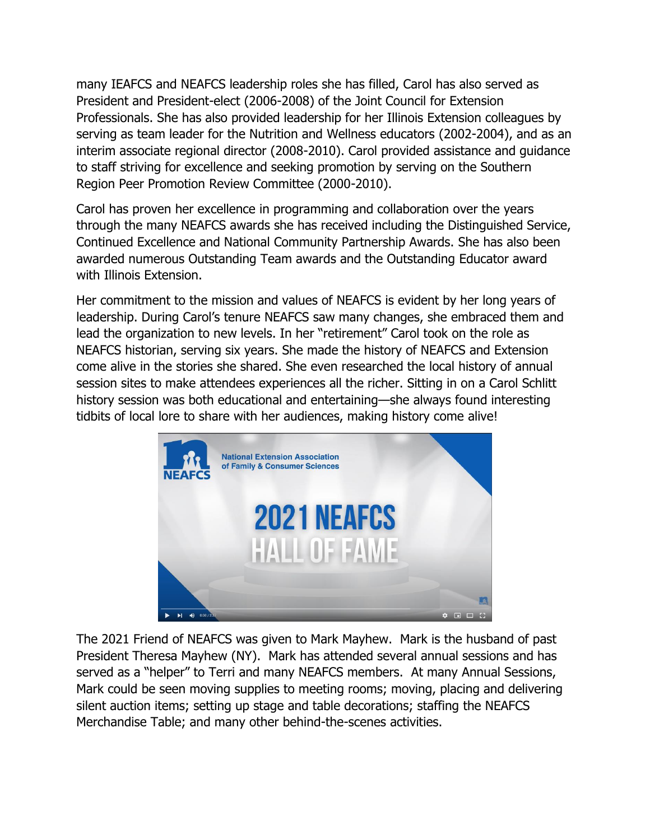many IEAFCS and NEAFCS leadership roles she has filled, Carol has also served as President and President-elect (2006-2008) of the Joint Council for Extension Professionals. She has also provided leadership for her Illinois Extension colleagues by serving as team leader for the Nutrition and Wellness educators (2002-2004), and as an interim associate regional director (2008-2010). Carol provided assistance and guidance to staff striving for excellence and seeking promotion by serving on the Southern Region Peer Promotion Review Committee (2000-2010).

Carol has proven her excellence in programming and collaboration over the years through the many NEAFCS awards she has received including the Distinguished Service, Continued Excellence and National Community Partnership Awards. She has also been awarded numerous Outstanding Team awards and the Outstanding Educator award with Illinois Extension.

Her commitment to the mission and values of NEAFCS is evident by her long years of leadership. During Carol's tenure NEAFCS saw many changes, she embraced them and lead the organization to new levels. In her "retirement" Carol took on the role as NEAFCS historian, serving six years. She made the history of NEAFCS and Extension come alive in the stories she shared. She even researched the local history of annual session sites to make attendees experiences all the richer. Sitting in on a Carol Schlitt history session was both educational and entertaining—she always found interesting tidbits of local lore to share with her audiences, making history come alive!



The 2021 Friend of NEAFCS was given to Mark Mayhew. Mark is the husband of past President Theresa Mayhew (NY). Mark has attended several annual sessions and has served as a "helper" to Terri and many NEAFCS members. At many Annual Sessions, Mark could be seen moving supplies to meeting rooms; moving, placing and delivering silent auction items; setting up stage and table decorations; staffing the NEAFCS Merchandise Table; and many other behind-the-scenes activities.